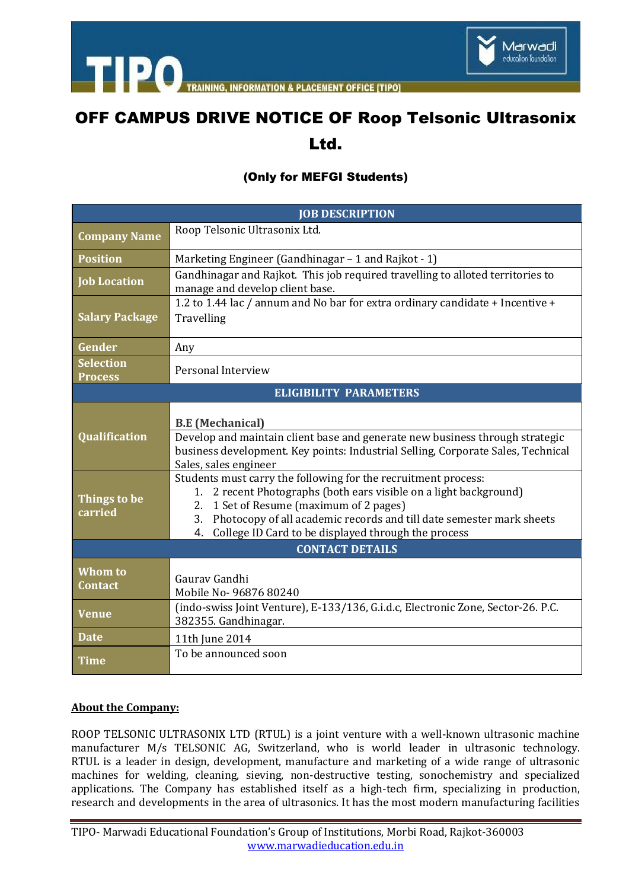

**NING. INFORMATION & PLACEMENT OFFICE ITIPOT** 

# OFF CAMPUS DRIVE NOTICE OF Roop Telsonic Ultrasonix

### Ltd.

#### (Only for MEFGI Students)

| <b>JOB DESCRIPTION</b>             |                                                                                                                                                                                                                                                                                                                                 |
|------------------------------------|---------------------------------------------------------------------------------------------------------------------------------------------------------------------------------------------------------------------------------------------------------------------------------------------------------------------------------|
| <b>Company Name</b>                | Roop Telsonic Ultrasonix Ltd.                                                                                                                                                                                                                                                                                                   |
| <b>Position</b>                    | Marketing Engineer (Gandhinagar – 1 and Rajkot - 1)                                                                                                                                                                                                                                                                             |
| <b>Job Location</b>                | Gandhinagar and Rajkot. This job required travelling to alloted territories to<br>manage and develop client base.                                                                                                                                                                                                               |
| <b>Salary Package</b>              | 1.2 to 1.44 lac / annum and No bar for extra ordinary candidate + Incentive +<br>Travelling                                                                                                                                                                                                                                     |
| Gender                             | Any                                                                                                                                                                                                                                                                                                                             |
| <b>Selection</b><br><b>Process</b> | Personal Interview                                                                                                                                                                                                                                                                                                              |
| <b>ELIGIBILITY PARAMETERS</b>      |                                                                                                                                                                                                                                                                                                                                 |
| <b>Qualification</b>               | <b>B.E</b> (Mechanical)<br>Develop and maintain client base and generate new business through strategic<br>business development. Key points: Industrial Selling, Corporate Sales, Technical<br>Sales, sales engineer                                                                                                            |
| Things to be<br>carried            | Students must carry the following for the recruitment process:<br>2 recent Photographs (both ears visible on a light background)<br>1.<br>1 Set of Resume (maximum of 2 pages)<br>2.<br>Photocopy of all academic records and till date semester mark sheets<br>3.<br>College ID Card to be displayed through the process<br>4. |
| <b>CONTACT DETAILS</b>             |                                                                                                                                                                                                                                                                                                                                 |
| <b>Whom to</b><br>Contact          | Gauray Gandhi<br>Mobile No- 96876 80240                                                                                                                                                                                                                                                                                         |
| Venue                              | (indo-swiss Joint Venture), E-133/136, G.i.d.c, Electronic Zone, Sector-26. P.C.<br>382355. Gandhinagar.                                                                                                                                                                                                                        |
| <b>Date</b>                        | 11th June 2014                                                                                                                                                                                                                                                                                                                  |
| <b>Time</b>                        | To be announced soon                                                                                                                                                                                                                                                                                                            |

#### **About the Company:**

ROOP TELSONIC ULTRASONIX LTD (RTUL) is a joint venture with a well-known ultrasonic machine manufacturer M/s TELSONIC AG, Switzerland, who is world leader in ultrasonic technology. RTUL is a leader in design, development, manufacture and marketing of a wide range of ultrasonic machines for welding, cleaning, sieving, non-destructive testing, sonochemistry and specialized applications. The Company has established itself as a high-tech firm, specializing in production, research and developments in the area of ultrasonics. It has the most modern manufacturing facilities